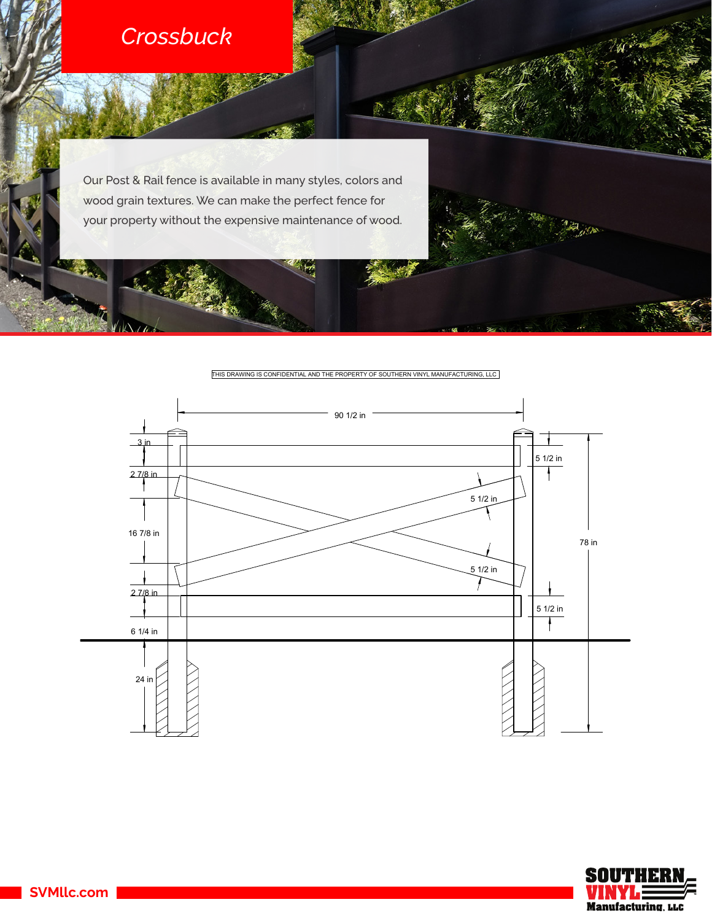

I۸

Our Post & Rail fence is available in many styles, colors and wood grain textures. We can make the perfect fence for your property without the expensive maintenance of wood.

THIS DRAWING IS CONFIDENTIAL AND THE PROPERTY OF SOUTHERN VINYL MANUFACTURING, LLC